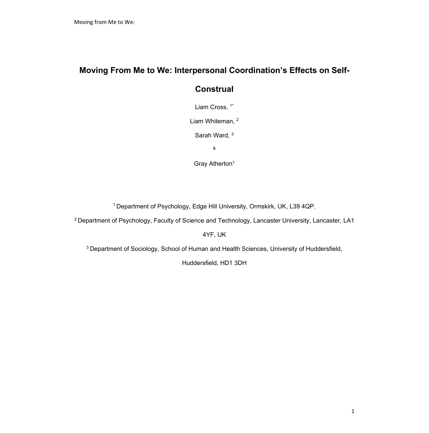## **Moving From Me to We: Interpersonal Coordination's Effects on Self-**

# **Construal**

Liam Cross, <sup>1\*</sup>

Liam Whiteman, <sup>2</sup>

Sarah Ward, 3

&

Gray Atherton<sup>1</sup>

1 Department of Psychology, Edge Hill University, Ormskirk, UK, L39 4QP.

<sup>2</sup> Department of Psychology, Faculty of Science and Technology, Lancaster University, Lancaster, LA1

4YF, UK

3 Department of Sociology, School of Human and Health Sciences, University of Huddersfield,

Huddersfield, HD1 3DH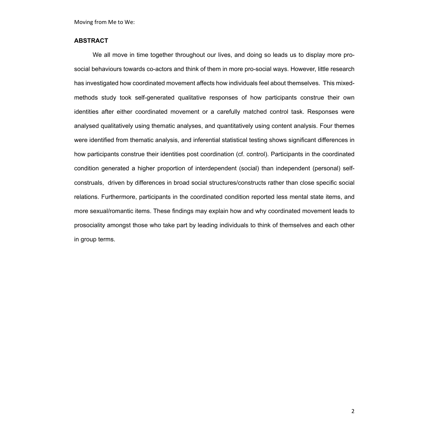#### **ABSTRACT**

We all move in time together throughout our lives, and doing so leads us to display more prosocial behaviours towards co-actors and think of them in more pro-social ways. However, little research has investigated how coordinated movement affects how individuals feel about themselves. This mixedmethods study took self-generated qualitative responses of how participants construe their own identities after either coordinated movement or a carefully matched control task. Responses were analysed qualitatively using thematic analyses, and quantitatively using content analysis. Four themes were identified from thematic analysis, and inferential statistical testing shows significant differences in how participants construe their identities post coordination (cf. control). Participants in the coordinated condition generated a higher proportion of interdependent (social) than independent (personal) selfconstruals, driven by differences in broad social structures/constructs rather than close specific social relations. Furthermore, participants in the coordinated condition reported less mental state items, and more sexual/romantic items. These findings may explain how and why coordinated movement leads to prosociality amongst those who take part by leading individuals to think of themselves and each other in group terms.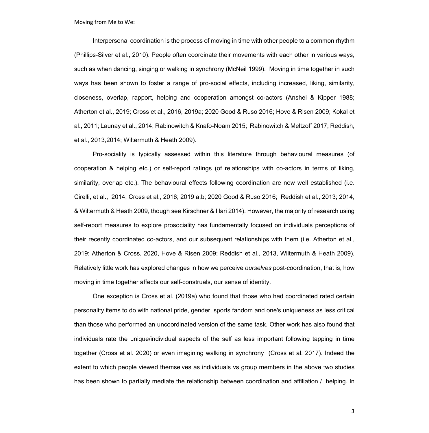Interpersonal coordination is the process of moving in time with other people to a common rhythm (Phillips-Silver et al., 2010). People often coordinate their movements with each other in various ways, such as when dancing, singing or walking in synchrony (McNeil 1999). Moving in time together in such ways has been shown to foster a range of pro-social effects, including increased, liking, similarity, closeness, overlap, rapport, helping and cooperation amongst co-actors (Anshel & Kipper 1988; Atherton et al., 2019; Cross et al., 2016, 2019a; 2020 Good & Ruso 2016; Hove & Risen 2009; Kokal et al., 2011; Launay et al., 2014; Rabinowitch & Knafo-Noam 2015; Rabinowitch & Meltzoff 2017; Reddish, et al., 2013,2014; Wiltermuth & Heath 2009).

Pro-sociality is typically assessed within this literature through behavioural measures (of cooperation & helping etc.) or self-report ratings (of relationships with co-actors in terms of liking, similarity, overlap etc.). The behavioural effects following coordination are now well established (i.e. Cirelli, et al., 2014; Cross et al., 2016; 2019 a,b; 2020 Good & Ruso 2016; Reddish et al., 2013; 2014, & Wiltermuth & Heath 2009, though see Kirschner & Illari 2014). However, the majority of research using self-report measures to explore prosociality has fundamentally focused on individuals perceptions of their recently coordinated co-actors, and our subsequent relationships with them (i.e. Atherton et al., 2019; Atherton & Cross, 2020, Hove & Risen 2009; Reddish et al., 2013, Wiltermuth & Heath 2009). Relatively little work has explored changes in how we perceive *ourselves* post-coordination, that is, how moving in time together affects our self-construals, our sense of identity.

One exception is Cross et al. (2019a) who found that those who had coordinated rated certain personality items to do with national pride, gender, sports fandom and one's uniqueness as less critical than those who performed an uncoordinated version of the same task. Other work has also found that individuals rate the unique/individual aspects of the self as less important following tapping in time together (Cross et al. 2020) or even imagining walking in synchrony (Cross et al. 2017). Indeed the extent to which people viewed themselves as individuals vs group members in the above two studies has been shown to partially mediate the relationship between coordination and affiliation / helping. In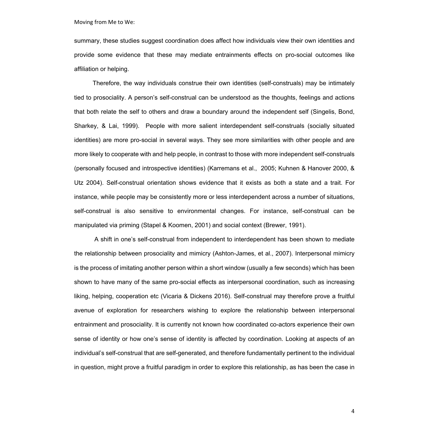summary, these studies suggest coordination does affect how individuals view their own identities and provide some evidence that these may mediate entrainments effects on pro-social outcomes like affiliation or helping.

Therefore, the way individuals construe their own identities (self-construals) may be intimately tied to prosociality. A person's self-construal can be understood as the thoughts, feelings and actions that both relate the self to others and draw a boundary around the independent self (Singelis, Bond, Sharkey, & Lai, 1999). People with more salient interdependent self-construals (socially situated identities) are more pro-social in several ways. They see more similarities with other people and are more likely to cooperate with and help people, in contrast to those with more independent self-construals (personally focused and introspective identities) (Karremans et al., 2005; Kuhnen & Hanover 2000, & Utz 2004). Self-construal orientation shows evidence that it exists as both a state and a trait. For instance, while people may be consistently more or less interdependent across a number of situations, self-construal is also sensitive to environmental changes. For instance, self-construal can be manipulated via priming (Stapel & Koomen, 2001) and social context (Brewer, 1991).

A shift in one's self-construal from independent to interdependent has been shown to mediate the relationship between prosociality and mimicry (Ashton-James, et al., 2007). Interpersonal mimicry is the process of imitating another person within a short window (usually a few seconds) which has been shown to have many of the same pro-social effects as interpersonal coordination, such as increasing liking, helping, cooperation etc (Vicaria & Dickens 2016). Self-construal may therefore prove a fruitful avenue of exploration for researchers wishing to explore the relationship between interpersonal entrainment and prosociality. It is currently not known how coordinated co-actors experience their own sense of identity or how one's sense of identity is affected by coordination. Looking at aspects of an individual's self-construal that are self-generated, and therefore fundamentally pertinent to the individual in question, might prove a fruitful paradigm in order to explore this relationship, as has been the case in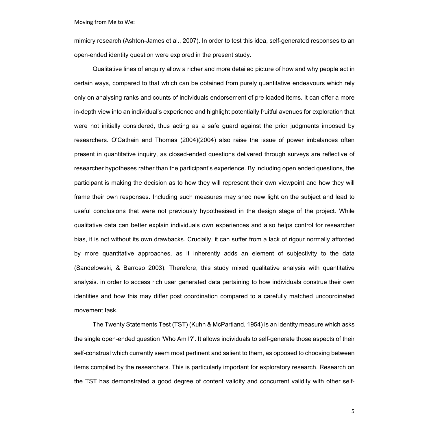mimicry research (Ashton-James et al., 2007). In order to test this idea, self-generated responses to an open-ended identity question were explored in the present study.

Qualitative lines of enquiry allow a richer and more detailed picture of how and why people act in certain ways, compared to that which can be obtained from purely quantitative endeavours which rely only on analysing ranks and counts of individuals endorsement of pre loaded items. It can offer a more in-depth view into an individual's experience and highlight potentially fruitful avenues for exploration that were not initially considered, thus acting as a safe guard against the prior judgments imposed by researchers. O'Cathain and Thomas (2004)(2004) also raise the issue of power imbalances often present in quantitative inquiry, as closed-ended questions delivered through surveys are reflective of researcher hypotheses rather than the participant's experience. By including open ended questions, the participant is making the decision as to how they will represent their own viewpoint and how they will frame their own responses. Including such measures may shed new light on the subject and lead to useful conclusions that were not previously hypothesised in the design stage of the project. While qualitative data can better explain individuals own experiences and also helps control for researcher bias, it is not without its own drawbacks. Crucially, it can suffer from a lack of rigour normally afforded by more quantitative approaches, as it inherently adds an element of subjectivity to the data (Sandelowski, & Barroso 2003). Therefore, this study mixed qualitative analysis with quantitative analysis. in order to access rich user generated data pertaining to how individuals construe their own identities and how this may differ post coordination compared to a carefully matched uncoordinated movement task.

The Twenty Statements Test (TST) (Kuhn & McPartland, 1954) is an identity measure which asks the single open-ended question 'Who Am I?'. It allows individuals to self-generate those aspects of their self-construal which currently seem most pertinent and salient to them, as opposed to choosing between items compiled by the researchers. This is particularly important for exploratory research. Research on the TST has demonstrated a good degree of content validity and concurrent validity with other self-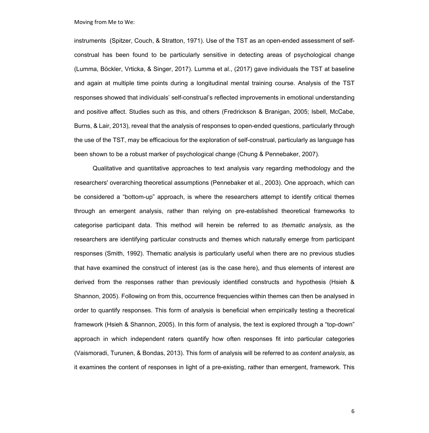instruments (Spitzer, Couch, & Stratton, 1971). Use of the TST as an open-ended assessment of selfconstrual has been found to be particularly sensitive in detecting areas of psychological change (Lumma, Böckler, Vrticka, & Singer, 2017). Lumma et al., (2017) gave individuals the TST at baseline and again at multiple time points during a longitudinal mental training course. Analysis of the TST responses showed that individuals' self-construal's reflected improvements in emotional understanding and positive affect. Studies such as this, and others (Fredrickson & Branigan, 2005; Isbell, McCabe, Burns, & Lair, 2013), reveal that the analysis of responses to open-ended questions, particularly through the use of the TST, may be efficacious for the exploration of self-construal, particularly as language has been shown to be a robust marker of psychological change (Chung & Pennebaker, 2007).

Qualitative and quantitative approaches to text analysis vary regarding methodology and the researchers' overarching theoretical assumptions (Pennebaker et al., 2003). One approach, which can be considered a "bottom-up" approach, is where the researchers attempt to identify critical themes through an emergent analysis, rather than relying on pre-established theoretical frameworks to categorise participant data. This method will herein be referred to as *thematic analysis*, as the researchers are identifying particular constructs and themes which naturally emerge from participant responses (Smith, 1992). Thematic analysis is particularly useful when there are no previous studies that have examined the construct of interest (as is the case here), and thus elements of interest are derived from the responses rather than previously identified constructs and hypothesis (Hsieh & Shannon, 2005). Following on from this, occurrence frequencies within themes can then be analysed in order to quantify responses. This form of analysis is beneficial when empirically testing a theoretical framework (Hsieh & Shannon, 2005). In this form of analysis, the text is explored through a "top-down" approach in which independent raters quantify how often responses fit into particular categories (Vaismoradi, Turunen, & Bondas, 2013). This form of analysis will be referred to as *content analysis*, as it examines the content of responses in light of a pre-existing, rather than emergent, framework. This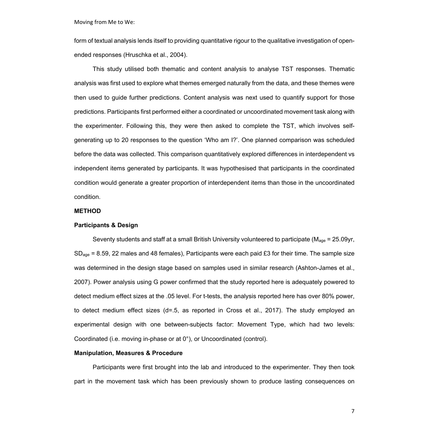form of textual analysis lends itself to providing quantitative rigour to the qualitative investigation of openended responses (Hruschka et al., 2004).

This study utilised both thematic and content analysis to analyse TST responses. Thematic analysis was first used to explore what themes emerged naturally from the data, and these themes were then used to guide further predictions. Content analysis was next used to quantify support for those predictions. Participants first performed either a coordinated or uncoordinated movement task along with the experimenter. Following this, they were then asked to complete the TST, which involves selfgenerating up to 20 responses to the question 'Who am I?'. One planned comparison was scheduled before the data was collected. This comparison quantitatively explored differences in interdependent vs independent items generated by participants. It was hypothesised that participants in the coordinated condition would generate a greater proportion of interdependent items than those in the uncoordinated condition.

#### **METHOD**

#### **Participants & Design**

Seventy students and staff at a small British University volunteered to participate ( $M_{\text{ace}}$  = 25.09yr,  $SD<sub>ace</sub> = 8.59, 22$  males and 48 females), Participants were each paid £3 for their time. The sample size was determined in the design stage based on samples used in similar research (Ashton-James et al., 2007). Power analysis using G power confirmed that the study reported here is adequately powered to detect medium effect sizes at the .05 level. For t-tests, the analysis reported here has over 80% power, to detect medium effect sizes (d=.5, as reported in Cross et al., 2017). The study employed an experimental design with one between-subjects factor: Movement Type, which had two levels: Coordinated (i.e. moving in-phase or at 0°), or Uncoordinated (control).

#### **Manipulation, Measures & Procedure**

Participants were first brought into the lab and introduced to the experimenter. They then took part in the movement task which has been previously shown to produce lasting consequences on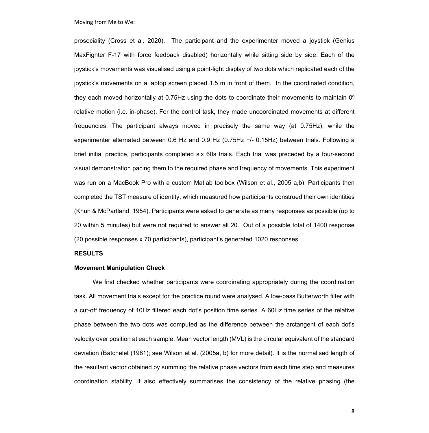prosociality (Cross et al. 2020). The participant and the experimenter moved a joystick (Genius MaxFighter F-17 with force feedback disabled) horizontally while sitting side by side. Each of the joystick's movements was visualised using a point-light display of two dots which replicated each of the joystick's movements on a laptop screen placed 1.5 m in front of them. In the coordinated condition, they each moved horizontally at 0.75Hz using the dots to coordinate their movements to maintain  $0^{\circ}$ relative motion (i.e. in-phase). For the control task, they made uncoordinated movements at different frequencies. The participant always moved in precisely the same way (at 0.75Hz), while the experimenter alternated between 0.6 Hz and 0.9 Hz (0.75Hz +/- 0.15Hz) between trials. Following a brief initial practice, participants completed six 60s trials. Each trial was preceded by a four-second visual demonstration pacing them to the required phase and frequency of movements. This experiment was run on a MacBook Pro with a custom Matlab toolbox (Wilson et al., 2005 a,b). Participants then completed the TST measure of identity, which measured how participants construed their own identities (Khun & McPartland, 1954). Participants were asked to generate as many responses as possible (up to 20 within 5 minutes) but were not required to answer all 20. Out of a possible total of 1400 response (20 possible responses x 70 participants), participant's generated 1020 responses.

#### **RESULTS**

#### **Movement Manipulation Check**

We first checked whether participants were coordinating appropriately during the coordination task. All movement trials except for the practice round were analysed. A low-pass Butterworth filter with a cut-off frequency of 10Hz filtered each dot's position time series. A 60Hz time series of the relative phase between the two dots was computed as the difference between the arctangent of each dot's velocity over position at each sample. Mean vector length (MVL) is the circular equivalent of the standard deviation (Batchelet (1981); see Wilson et al. (2005a, b) for more detail). It is the normalised length of the resultant vector obtained by summing the relative phase vectors from each time step and measures coordination stability. It also effectively summarises the consistency of the relative phasing (the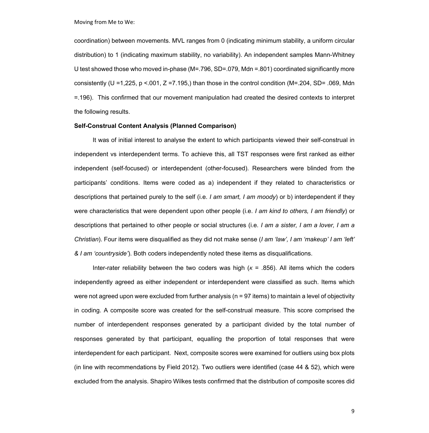coordination) between movements. MVL ranges from 0 (indicating minimum stability, a uniform circular distribution) to 1 (indicating maximum stability, no variability). An independent samples Mann-Whitney U test showed those who moved in-phase (M=.796, SD=.079, Mdn =.801) coordinated significantly more consistently (U = 1,225, p <.001, Z = 7.195,) than those in the control condition (M=.204, SD= .069, Mdn =.196). This confirmed that our movement manipulation had created the desired contexts to interpret the following results.

#### **Self-Construal Content Analysis (Planned Comparison)**

It was of initial interest to analyse the extent to which participants viewed their self-construal in independent vs interdependent terms. To achieve this, all TST responses were first ranked as either independent (self-focused) or interdependent (other-focused). Researchers were blinded from the participants' conditions. Items were coded as a) independent if they related to characteristics or descriptions that pertained purely to the self (i.e. *I am smart, I am moody*) or b) interdependent if they were characteristics that were dependent upon other people (i.e. *I am kind to others, I am friendly*) or descriptions that pertained to other people or social structures (i.e*. I am a sister, I am a lover, I am a Christian*). Four items were disqualified as they did not make sense (*I am 'law', I am 'makeup' I am 'left' & I am 'countryside'*). Both coders independently noted these items as disqualifications.

Inter-rater reliability between the two coders was high (*κ* = .856). All items which the coders independently agreed as either independent or interdependent were classified as such. Items which were not agreed upon were excluded from further analysis (n = 97 items) to maintain a level of objectivity in coding. A composite score was created for the self-construal measure. This score comprised the number of interdependent responses generated by a participant divided by the total number of responses generated by that participant, equalling the proportion of total responses that were interdependent for each participant. Next, composite scores were examined for outliers using box plots (in line with recommendations by Field 2012). Two outliers were identified (case 44 & 52), which were excluded from the analysis. Shapiro Wilkes tests confirmed that the distribution of composite scores did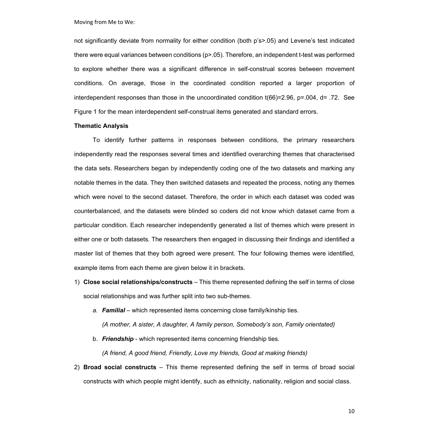not significantly deviate from normality for either condition (both p's>.05) and Levene's test indicated there were equal variances between conditions (p>.05). Therefore, an independent t-test was performed to explore whether there was a significant difference in self-construal scores between movement conditions. On average, those in the coordinated condition reported a larger proportion of interdependent responses than those in the uncoordinated condition t(66)=2.96, p=.004, d= .72. See Figure 1 for the mean interdependent self-construal items generated and standard errors.

#### **Thematic Analysis**

To identify further patterns in responses between conditions, the primary researchers independently read the responses several times and identified overarching themes that characterised the data sets. Researchers began by independently coding one of the two datasets and marking any notable themes in the data. They then switched datasets and repeated the process, noting any themes which were novel to the second dataset. Therefore, the order in which each dataset was coded was counterbalanced, and the datasets were blinded so coders did not know which dataset came from a particular condition. Each researcher independently generated a list of themes which were present in either one or both datasets. The researchers then engaged in discussing their findings and identified a master list of themes that they both agreed were present. The four following themes were identified, example items from each theme are given below it in brackets.

- 1) **Close social relationships/constructs** This theme represented defining the self in terms of close social relationships and was further split into two sub-themes.
	- *a. Familial* which represented items concerning close family/kinship ties. *(A mother, A sister, A daughter, A family person, Somebody's son, Family orientated)*
	- b. *Friendship* which represented items concerning friendship ties.

*(A friend, A good friend, Friendly, Love my friends, Good at making friends)* 

2) **Broad social constructs** – This theme represented defining the self in terms of broad social constructs with which people might identify, such as ethnicity, nationality, religion and social class.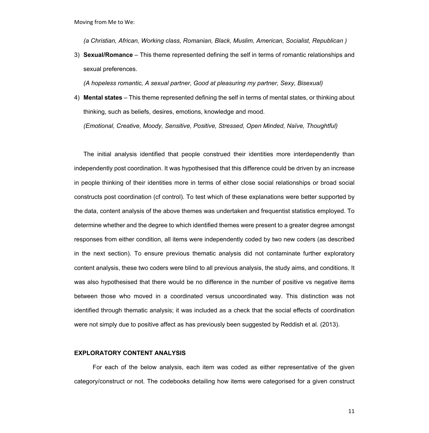*(a Christian, African, Working class, Romanian, Black, Muslim, American, Socialist, Republican )*

3) **Sexual/Romance** – This theme represented defining the self in terms of romantic relationships and sexual preferences.

*(A hopeless romantic, A sexual partner, Good at pleasuring my partner, Sexy, Bisexual)*

4) **Mental states** – This theme represented defining the self in terms of mental states, or thinking about thinking, such as beliefs, desires, emotions, knowledge and mood.

*(Emotional, Creative, Moody, Sensitive, Positive, Stressed, Open Minded, Naïve, Thoughtful)*

The initial analysis identified that people construed their identities more interdependently than independently post coordination. It was hypothesised that this difference could be driven by an increase in people thinking of their identities more in terms of either close social relationships or broad social constructs post coordination (cf control). To test which of these explanations were better supported by the data, content analysis of the above themes was undertaken and frequentist statistics employed. To determine whether and the degree to which identified themes were present to a greater degree amongst responses from either condition, all items were independently coded by two new coders (as described in the next section). To ensure previous thematic analysis did not contaminate further exploratory content analysis, these two coders were blind to all previous analysis, the study aims, and conditions. It was also hypothesised that there would be no difference in the number of positive vs negative items between those who moved in a coordinated versus uncoordinated way. This distinction was not identified through thematic analysis; it was included as a check that the social effects of coordination were not simply due to positive affect as has previously been suggested by Reddish et al. (2013).

#### **EXPLORATORY CONTENT ANALYSIS**

For each of the below analysis, each item was coded as either representative of the given category/construct or not. The codebooks detailing how items were categorised for a given construct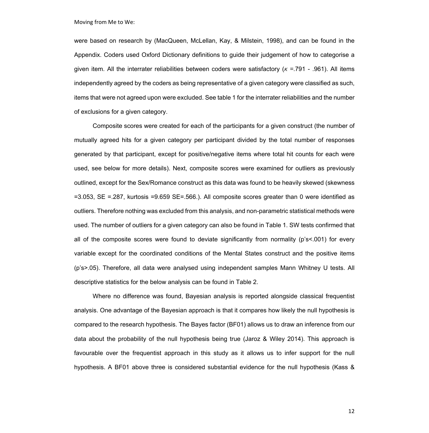were based on research by (MacQueen, McLellan, Kay, & Milstein, 1998), and can be found in the Appendix. Coders used Oxford Dictionary definitions to guide their judgement of how to categorise a given item. All the interrater reliabilities between coders were satisfactory (*κ =*.791 - .961). All items independently agreed by the coders as being representative of a given category were classified as such, items that were not agreed upon were excluded. See table 1 for the interrater reliabilities and the number of exclusions for a given category.

Composite scores were created for each of the participants for a given construct (the number of mutually agreed hits for a given category per participant divided by the total number of responses generated by that participant, except for positive/negative items where total hit counts for each were used, see below for more details). Next, composite scores were examined for outliers as previously outlined, except for the Sex/Romance construct as this data was found to be heavily skewed (skewness =3.053, SE =.287, kurtosis =9.659 SE=.566.). All composite scores greater than 0 were identified as outliers. Therefore nothing was excluded from this analysis, and non-parametric statistical methods were used. The number of outliers for a given category can also be found in Table 1. SW tests confirmed that all of the composite scores were found to deviate significantly from normality (p's<.001) for every variable except for the coordinated conditions of the Mental States construct and the positive items (p's>.05). Therefore, all data were analysed using independent samples Mann Whitney U tests. All descriptive statistics for the below analysis can be found in Table 2.

Where no difference was found, Bayesian analysis is reported alongside classical frequentist analysis. One advantage of the Bayesian approach is that it compares how likely the null hypothesis is compared to the research hypothesis. The Bayes factor (BF01) allows us to draw an inference from our data about the probability of the null hypothesis being true (Jaroz & Wiley 2014). This approach is favourable over the frequentist approach in this study as it allows us to infer support for the null hypothesis. A BF01 above three is considered substantial evidence for the null hypothesis (Kass &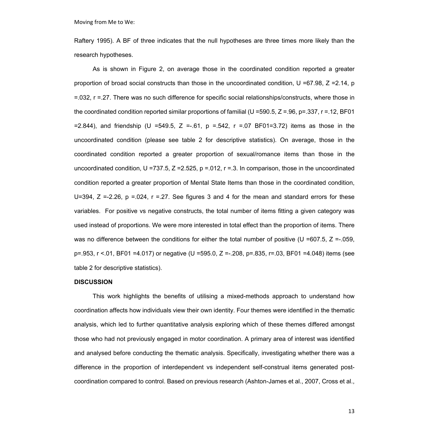Raftery 1995). A BF of three indicates that the null hypotheses are three times more likely than the research hypotheses.

As is shown in Figure 2, on average those in the coordinated condition reported a greater proportion of broad social constructs than those in the uncoordinated condition, U =67.98, Z =2.14, p =.032, r =.27. There was no such difference for specific social relationships/constructs, where those in the coordinated condition reported similar proportions of familial (U =590.5, Z = 96, p=.337, r = 12, BF01 =2.844), and friendship (U =549.5, Z =-.61, p =.542, r =.07 BF01=3.72) items as those in the uncoordinated condition (please see table 2 for descriptive statistics). On average, those in the coordinated condition reported a greater proportion of sexual/romance items than those in the uncoordinated condition, U =737.5, Z =2.525, p =.012, r =.3. In comparison, those in the uncoordinated condition reported a greater proportion of Mental State Items than those in the coordinated condition, U=394,  $Z = -2.26$ ,  $p = 0.024$ ,  $r = 0.27$ . See figures 3 and 4 for the mean and standard errors for these variables. For positive vs negative constructs, the total number of items fitting a given category was used instead of proportions. We were more interested in total effect than the proportion of items. There was no difference between the conditions for either the total number of positive (U =607.5,  $Z = 0.059$ , p=.953, r <.01, BF01 =4.017) or negative (U =595.0, Z =-.208, p=.835, r=.03, BF01 =4.048) items (see table 2 for descriptive statistics).

#### **DISCUSSION**

This work highlights the benefits of utilising a mixed-methods approach to understand how coordination affects how individuals view their own identity. Four themes were identified in the thematic analysis, which led to further quantitative analysis exploring which of these themes differed amongst those who had not previously engaged in motor coordination. A primary area of interest was identified and analysed before conducting the thematic analysis. Specifically, investigating whether there was a difference in the proportion of interdependent vs independent self-construal items generated postcoordination compared to control. Based on previous research (Ashton-James et al., 2007, Cross et al.,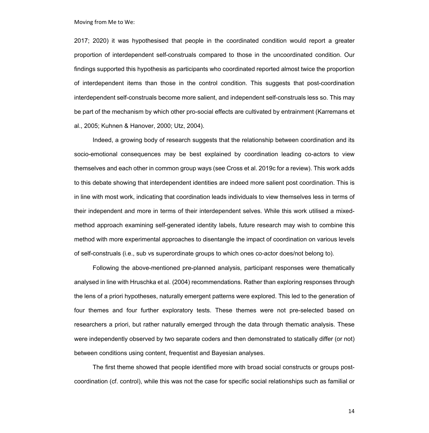2017; 2020) it was hypothesised that people in the coordinated condition would report a greater proportion of interdependent self-construals compared to those in the uncoordinated condition. Our findings supported this hypothesis as participants who coordinated reported almost twice the proportion of interdependent items than those in the control condition. This suggests that post-coordination interdependent self-construals become more salient, and independent self-construals less so. This may be part of the mechanism by which other pro-social effects are cultivated by entrainment (Karremans et al., 2005; Kuhnen & Hanover, 2000; Utz, 2004).

Indeed, a growing body of research suggests that the relationship between coordination and its socio-emotional consequences may be best explained by coordination leading co-actors to view themselves and each other in common group ways (see Cross et al. 2019c for a review). This work adds to this debate showing that interdependent identities are indeed more salient post coordination. This is in line with most work, indicating that coordination leads individuals to view themselves less in terms of their independent and more in terms of their interdependent selves. While this work utilised a mixedmethod approach examining self-generated identity labels, future research may wish to combine this method with more experimental approaches to disentangle the impact of coordination on various levels of self-construals (i.e., sub vs superordinate groups to which ones co-actor does/not belong to).

Following the above-mentioned pre-planned analysis, participant responses were thematically analysed in line with Hruschka et al. (2004) recommendations. Rather than exploring responses through the lens of a priori hypotheses, naturally emergent patterns were explored. This led to the generation of four themes and four further exploratory tests. These themes were not pre-selected based on researchers a priori, but rather naturally emerged through the data through thematic analysis. These were independently observed by two separate coders and then demonstrated to statically differ (or not) between conditions using content, frequentist and Bayesian analyses.

The first theme showed that people identified more with broad social constructs or groups postcoordination (cf. control), while this was not the case for specific social relationships such as familial or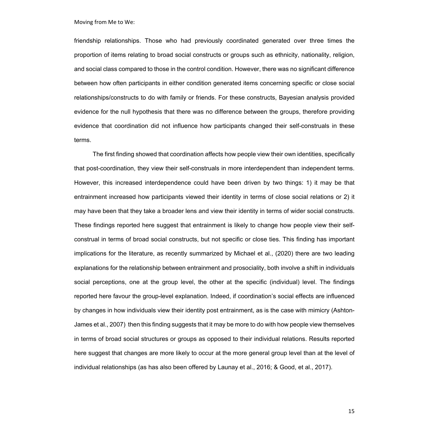friendship relationships. Those who had previously coordinated generated over three times the proportion of items relating to broad social constructs or groups such as ethnicity, nationality, religion, and social class compared to those in the control condition. However, there was no significant difference between how often participants in either condition generated items concerning specific or close social relationships/constructs to do with family or friends. For these constructs, Bayesian analysis provided evidence for the null hypothesis that there was no difference between the groups, therefore providing evidence that coordination did not influence how participants changed their self-construals in these terms.

The first finding showed that coordination affects how people view their own identities, specifically that post-coordination, they view their self-construals in more interdependent than independent terms. However, this increased interdependence could have been driven by two things: 1) it may be that entrainment increased how participants viewed their identity in terms of close social relations or 2) it may have been that they take a broader lens and view their identity in terms of wider social constructs. These findings reported here suggest that entrainment is likely to change how people view their selfconstrual in terms of broad social constructs, but not specific or close ties. This finding has important implications for the literature, as recently summarized by Michael et al., (2020) there are two leading explanations for the relationship between entrainment and prosociality, both involve a shift in individuals social perceptions, one at the group level, the other at the specific (individual) level. The findings reported here favour the group-level explanation. Indeed, if coordination's social effects are influenced by changes in how individuals view their identity post entrainment, as is the case with mimicry (Ashton-James et al., 2007) then this finding suggests that it may be more to do with how people view themselves in terms of broad social structures or groups as opposed to their individual relations. Results reported here suggest that changes are more likely to occur at the more general group level than at the level of individual relationships (as has also been offered by Launay et al., 2016; & Good, et al., 2017).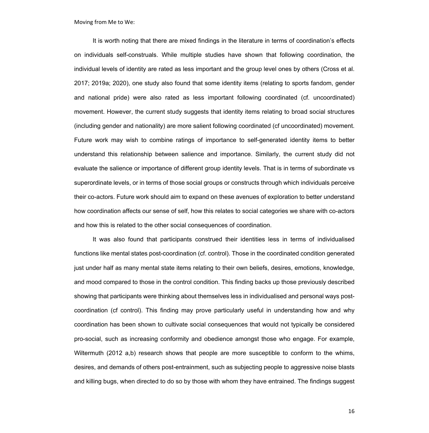It is worth noting that there are mixed findings in the literature in terms of coordination's effects on individuals self-construals. While multiple studies have shown that following coordination, the individual levels of identity are rated as less important and the group level ones by others (Cross et al. 2017; 2019a; 2020), one study also found that some identity items (relating to sports fandom, gender and national pride) were also rated as less important following coordinated (cf. uncoordinated) movement. However, the current study suggests that identity items relating to broad social structures (including gender and nationality) are more salient following coordinated (cf uncoordinated) movement. Future work may wish to combine ratings of importance to self-generated identity items to better understand this relationship between salience and importance. Similarly, the current study did not evaluate the salience or importance of different group identity levels. That is in terms of subordinate vs superordinate levels, or in terms of those social groups or constructs through which individuals perceive their co-actors. Future work should aim to expand on these avenues of exploration to better understand how coordination affects our sense of self, how this relates to social categories we share with co-actors and how this is related to the other social consequences of coordination.

It was also found that participants construed their identities less in terms of individualised functions like mental states post-coordination (cf. control). Those in the coordinated condition generated just under half as many mental state items relating to their own beliefs, desires, emotions, knowledge, and mood compared to those in the control condition. This finding backs up those previously described showing that participants were thinking about themselves less in individualised and personal ways postcoordination (cf control). This finding may prove particularly useful in understanding how and why coordination has been shown to cultivate social consequences that would not typically be considered pro-social, such as increasing conformity and obedience amongst those who engage. For example, Wiltermuth (2012 a,b) research shows that people are more susceptible to conform to the whims, desires, and demands of others post-entrainment, such as subjecting people to aggressive noise blasts and killing bugs, when directed to do so by those with whom they have entrained. The findings suggest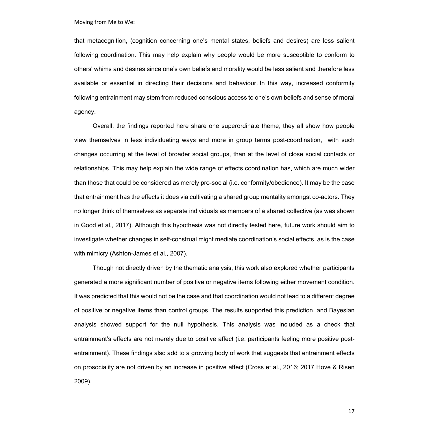that metacognition, (cognition concerning one's mental states, beliefs and desires) are less salient following coordination. This may help explain why people would be more susceptible to conform to others' whims and desires since one's own beliefs and morality would be less salient and therefore less available or essential in directing their decisions and behaviour. In this way, increased conformity following entrainment may stem from reduced conscious access to one's own beliefs and sense of moral agency.

Overall, the findings reported here share one superordinate theme; they all show how people view themselves in less individuating ways and more in group terms post-coordination, with such changes occurring at the level of broader social groups, than at the level of close social contacts or relationships. This may help explain the wide range of effects coordination has, which are much wider than those that could be considered as merely pro-social (i.e. conformity/obedience). It may be the case that entrainment has the effects it does via cultivating a shared group mentality amongst co-actors. They no longer think of themselves as separate individuals as members of a shared collective (as was shown in Good et al., 2017). Although this hypothesis was not directly tested here, future work should aim to investigate whether changes in self-construal might mediate coordination's social effects, as is the case with mimicry (Ashton-James et al., 2007).

Though not directly driven by the thematic analysis, this work also explored whether participants generated a more significant number of positive or negative items following either movement condition. It was predicted that this would not be the case and that coordination would not lead to a different degree of positive or negative items than control groups. The results supported this prediction, and Bayesian analysis showed support for the null hypothesis. This analysis was included as a check that entrainment's effects are not merely due to positive affect (i.e. participants feeling more positive postentrainment). These findings also add to a growing body of work that suggests that entrainment effects on prosociality are not driven by an increase in positive affect (Cross et al., 2016; 2017 Hove & Risen 2009).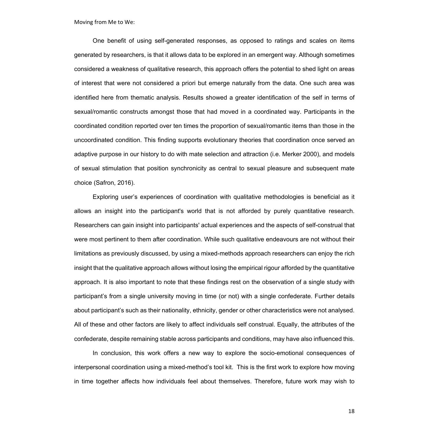One benefit of using self-generated responses, as opposed to ratings and scales on items generated by researchers, is that it allows data to be explored in an emergent way. Although sometimes considered a weakness of qualitative research, this approach offers the potential to shed light on areas of interest that were not considered a priori but emerge naturally from the data. One such area was identified here from thematic analysis. Results showed a greater identification of the self in terms of sexual/romantic constructs amongst those that had moved in a coordinated way. Participants in the coordinated condition reported over ten times the proportion of sexual/romantic items than those in the uncoordinated condition. This finding supports evolutionary theories that coordination once served an adaptive purpose in our history to do with mate selection and attraction (i.e. Merker 2000), and models of sexual stimulation that position synchronicity as central to sexual pleasure and subsequent mate choice (Safron, 2016).

Exploring user's experiences of coordination with qualitative methodologies is beneficial as it allows an insight into the participant's world that is not afforded by purely quantitative research. Researchers can gain insight into participants' actual experiences and the aspects of self-construal that were most pertinent to them after coordination. While such qualitative endeavours are not without their limitations as previously discussed, by using a mixed-methods approach researchers can enjoy the rich insight that the qualitative approach allows without losing the empirical rigour afforded by the quantitative approach. It is also important to note that these findings rest on the observation of a single study with participant's from a single university moving in time (or not) with a single confederate. Further details about participant's such as their nationality, ethnicity, gender or other characteristics were not analysed. All of these and other factors are likely to affect individuals self construal. Equally, the attributes of the confederate, despite remaining stable across participants and conditions, may have also influenced this.

In conclusion, this work offers a new way to explore the socio-emotional consequences of interpersonal coordination using a mixed-method's tool kit. This is the first work to explore how moving in time together affects how individuals feel about themselves. Therefore, future work may wish to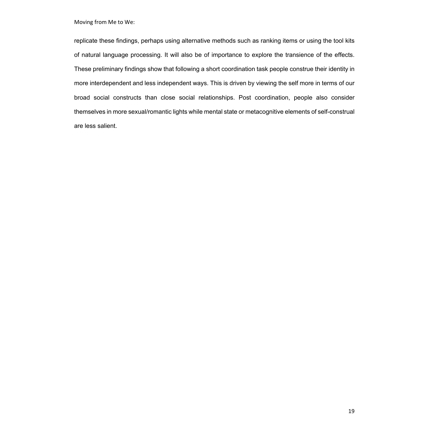replicate these findings, perhaps using alternative methods such as ranking items or using the tool kits of natural language processing. It will also be of importance to explore the transience of the effects. These preliminary findings show that following a short coordination task people construe their identity in more interdependent and less independent ways. This is driven by viewing the self more in terms of our broad social constructs than close social relationships. Post coordination, people also consider themselves in more sexual/romantic lights while mental state or metacognitive elements of self-construal are less salient.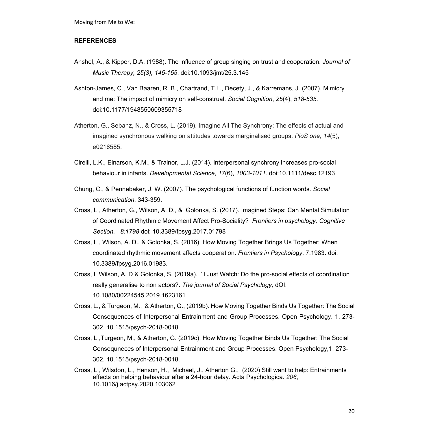#### **REFERENCES**

- Anshel, A., & Kipper, D.A. (1988). The influence of group singing on trust and cooperation. *Journal of Music Therapy, 25(3), 145-155*. doi:10.1093/jmt/25.3.145
- Ashton-James, C., Van Baaren, R. B., Chartrand, T.L., Decety, J., & Karremans, J. (2007). Mimicry and me: The impact of mimicry on self-construal. *Social Cognition*, *25*(4), *518-535*. doi:10.1177/1948550609355718
- Atherton, G., Sebanz, N., & Cross, L. (2019). Imagine All The Synchrony: The effects of actual and imagined synchronous walking on attitudes towards marginalised groups. *PloS one*, *14*(5), e0216585.
- Cirelli, L.K., Einarson, K.M., & Trainor, L.J. (2014). Interpersonal synchrony increases pro-social behaviour in infants. *Developmental Science*, *17*(6), *1003-1011*. doi:10.1111/desc.12193
- Chung, C., & Pennebaker, J. W. (2007). The psychological functions of function words. *Social communication*, 343-359.
- Cross, L., Atherton, G., Wilson, A. D., & Golonka, S. (2017). Imagined Steps: Can Mental Simulation of Coordinated Rhythmic Movement Affect Pro-Sociality? *Frontiers in psychology, Cognitive Section. 8:1798* doi: 10.3389/fpsyg.2017.01798
- Cross, L., Wilson, A. D., & Golonka, S. (2016). How Moving Together Brings Us Together: When coordinated rhythmic movement affects cooperation. *Frontiers in Psychology*, 7:1983. doi: 10.3389/fpsyg.2016.01983.
- Cross, L Wilson, A. D & Golonka, S. (2019a). I'll Just Watch: Do the pro-social effects of coordination really generalise to non actors?. *The journal of Social Psychology,* dOI: 10.1080/00224545.2019.1623161
- Cross, L., & Turgeon, M., & Atherton, G., (2019b). How Moving Together Binds Us Together: The Social Consequences of Interpersonal Entrainment and Group Processes. Open Psychology. 1. 273- 302. 10.1515/psych-2018-0018.
- Cross, L.,Turgeon, M., & Atherton, G. (2019c). How Moving Together Binds Us Together: The Social Consequneces of Interpersonal Entrainment and Group Processes. Open Psychology,1: 273- 302. 10.1515/psych-2018-0018.
- Cross, L., Wilsdon, L., Henson, H., Michael, J., Atherton G., (2020) Still want to help: Entrainments effects on helping behaviour after a 24-hour delay. Acta Psychologica. *206*, 10.1016/j.actpsy.2020.103062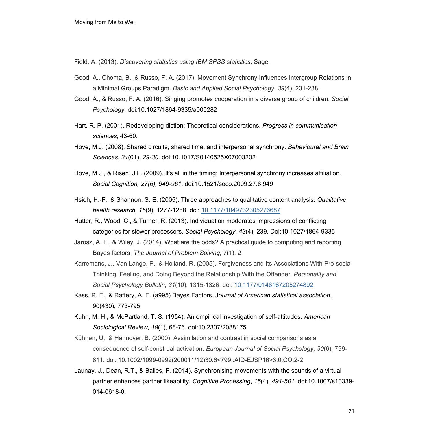Field, A. (2013). *Discovering statistics using IBM SPSS statistics*. Sage.

- Good, A., Choma, B., & Russo, F. A. (2017). Movement Synchrony Influences Intergroup Relations in a Minimal Groups Paradigm. *Basic and Applied Social Psychology*, *39*(4), 231-238.
- Good, A., & Russo, F. A. (2016). Singing promotes cooperation in a diverse group of children. *Social Psychology*. doi:10.1027/1864-9335/a000282
- Hart, R. P. (2001). Redeveloping diction: Theoretical considerations. *Progress in communication sciences*, 43-60.
- Hove, M.J. (2008). Shared circuits, shared time, and interpersonal synchrony. *Behavioural and Brain Sciences*, *31*(01), *29-30*. doi:10.1017/S0140525X07003202
- Hove, M.J., & Risen, J.L. (2009). It's all in the timing: Interpersonal synchrony increases affiliation. *Social Cognition, 27(6), 949-961*. doi:10.1521/soco.2009.27.6.949
- Hsieh, H.-F., & Shannon, S. E. (2005). Three approaches to qualitative content analysis. *Qualitative health research, 15*(9), 1277-1288. doi: 10.1177/1049732305276687
- Hutter, R., Wood, C., & Turner, R. (2013). Individuation moderates impressions of conflicting categories for slower processors. *Social Psychology*, *43*(4), 239. Doi:10.1027/1864-9335
- Jarosz, A. F., & Wiley, J. (2014). What are the odds? A practical guide to computing and reporting Bayes factors. *The Journal of Problem Solving*, *7*(1), 2.
- Karremans, J., Van Lange, P., & Holland, R. (2005). Forgiveness and Its Associations With Pro-social Thinking, Feeling, and Doing Beyond the Relationship With the Offender. *Personality and Social Psychology Bulletin, 31*(10), 1315-1326. doi: 10.1177/0146167205274892
- Kass, R. E., & Raftery, A, E. (a995) Bayes Factors. J*ournal of American statistical association*, 90(430), 773-795
- Kuhn, M. H., & McPartland, T. S. (1954). An empirical investigation of self-attitudes. *American Sociological Review, 19*(1), 68-76. doi:10.2307/2088175
- Kühnen, U., & Hannover, B. (2000). Assimilation and contrast in social comparisons as a consequence of self-construal activation. *European Journal of Social Psychology, 30*(6), 799- 811. doi: 10.1002/1099-0992(200011/12)30:6<799::AID-EJSP16>3.0.CO;2-2
- Launay, J., Dean, R.T., & Bailes, F. (2014). Synchronising movements with the sounds of a virtual partner enhances partner likeability. *Cognitive Processing*, *15*(4), *491-501.* doi:10.1007/s10339- 014-0618-0.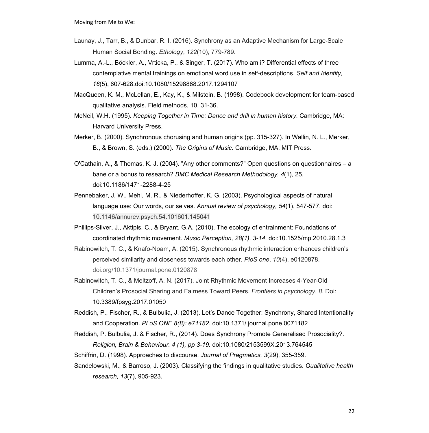- Launay, J., Tarr, B., & Dunbar, R. I. (2016). Synchrony as an Adaptive Mechanism for Large-Scale Human Social Bonding. *Ethology*, *122*(10), 779-789.
- Lumma, A.-L., Böckler, A., Vrticka, P., & Singer, T. (2017). Who am i? Differential effects of three contemplative mental trainings on emotional word use in self-descriptions. *Self and Identity, 16*(5), 607-628.doi:10.1080/15298868.2017.1294107
- MacQueen, K. M., McLellan, E., Kay, K., & Milstein, B. (1998). Codebook development for team-based qualitative analysis. Field methods, 10, 31-36.
- McNeil, W.H. (1995). *Keeping Together in Time: Dance and drill in human history*. Cambridge, MA: Harvard University Press.
- Merker, B. (2000). Synchronous chorusing and human origins (pp. 315-327). In Wallin, N. L., Merker, B., & Brown, S. (eds.) (2000). *The Origins of Music.* Cambridge, MA: MIT Press.
- O'Cathain, A., & Thomas, K. J. (2004). "Any other comments?" Open questions on questionnaires a bane or a bonus to research? *BMC Medical Research Methodology, 4*(1), 25. doi:10.1186/1471-2288-4-25
- Pennebaker, J. W., Mehl, M. R., & Niederhoffer, K. G. (2003). Psychological aspects of natural language use: Our words, our selves. *Annual review of psychology, 54*(1), 547-577. doi: 10.1146/annurev.psych.54.101601.145041
- Phillips-Silver, J., Aktipis, C., & Bryant, G.A. (2010). The ecology of entrainment: Foundations of coordinated rhythmic movement. *Music Perception, 28(1), 3-14*. doi:10.1525/mp.2010.28.1.3
- Rabinowitch, T. C., & Knafo-Noam, A. (2015). Synchronous rhythmic interaction enhances children's perceived similarity and closeness towards each other. *PloS one*, *10*(4), e0120878. doi.org/10.1371/journal.pone.0120878
- Rabinowitch, T. C., & Meltzoff, A. N. (2017). Joint Rhythmic Movement Increases 4-Year-Old Children's Prosocial Sharing and Fairness Toward Peers. *Frontiers in psychology*, *8*. Doi: 10.3389/fpsyg.2017.01050
- Reddish, P., Fischer, R., & Bulbulia, J. (2013). Let's Dance Together: Synchrony, Shared Intentionality and Cooperation. *PLoS ONE 8(8): e71182*. doi:10.1371/ journal.pone.0071182
- Reddish, P. Bulbulia, J. & Fischer, R., (2014). Does Synchrony Promote Generalised Prosociality?. *Religion, Brain & Behaviour. 4 (1), pp 3-19.* doi:10.1080/2153599X.2013.764545
- Schiffrin, D. (1998). Approaches to discourse. *Journal of Pragmatics, 3*(29), 355-359.
- Sandelowski, M., & Barroso, J. (2003). Classifying the findings in qualitative studies. *Qualitative health research, 13*(7), 905-923.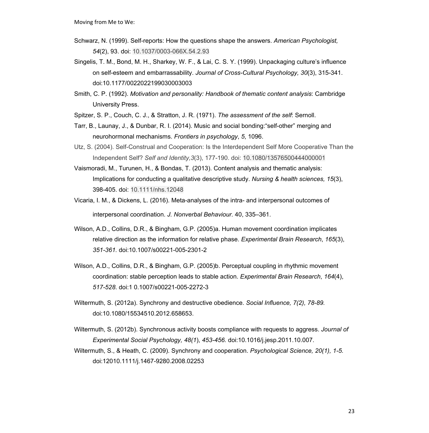- Schwarz, N. (1999). Self-reports: How the questions shape the answers. *American Psychologist, 54*(2), 93. doi: 10.1037/0003-066X.54.2.93
- Singelis, T. M., Bond, M. H., Sharkey, W. F., & Lai, C. S. Y. (1999). Unpackaging culture's influence on self-esteem and embarrassability. *Journal of Cross-Cultural Psychology, 30*(3), 315-341. doi:10.1177/0022022199030003003
- Smith, C. P. (1992). *Motivation and personality: Handbook of thematic content analysis*: Cambridge University Press.
- Spitzer, S. P., Couch, C. J., & Stratton, J. R. (1971). *The assessment of the self*: Sernoll.
- Tarr, B., Launay, J., & Dunbar, R. I. (2014). Music and social bonding:"self-other" merging and neurohormonal mechanisms. *Frontiers in psychology*, *5*, 1096.
- Utz, S. (2004). Self-Construal and Cooperation: Is the Interdependent Self More Cooperative Than the Independent Self? *Self and Identity,3*(3), 177-190. doi: 10.1080/13576500444000001
- Vaismoradi, M., Turunen, H., & Bondas, T. (2013). Content analysis and thematic analysis: Implications for conducting a qualitative descriptive study. *Nursing & health sciences, 15*(3), 398-405. doi: 10.1111/nhs.12048
- Vicaria, I. M., & Dickens, L. (2016). Meta-analyses of the intra- and interpersonal outcomes of interpersonal coordination. *J. Nonverbal Behaviour.* 40, 335–361.
- Wilson, A.D., Collins, D.R., & Bingham, G.P. (2005)a. Human movement coordination implicates relative direction as the information for relative phase. *Experimental Brain Research*, *165*(3), *351-361.* doi:10.1007/s00221-005-2301-2
- Wilson, A.D., Collins, D.R., & Bingham, G.P. (2005)b. Perceptual coupling in rhythmic movement coordination: stable perception leads to stable action. *Experimental Brain Research*, *164*(4), *517-528*. doi:1 0.1007/s00221-005-2272-3
- Wiltermuth, S. (2012a). Synchrony and destructive obedience. *Social Influence, 7(2), 78-89.* doi:10.1080/15534510.2012.658653.
- Wiltermuth, S. (2012b). Synchronous activity boosts compliance with requests to aggress. *Journal of Experimental Social Psychology, 48(1*), *453-456.* doi:10.1016/j.jesp.2011.10.007.
- Wiltermuth, S., & Heath, C. (2009). Synchrony and cooperation. *Psychological Science, 20(1), 1-5.* doi:12010.1111/j.1467-9280.2008.02253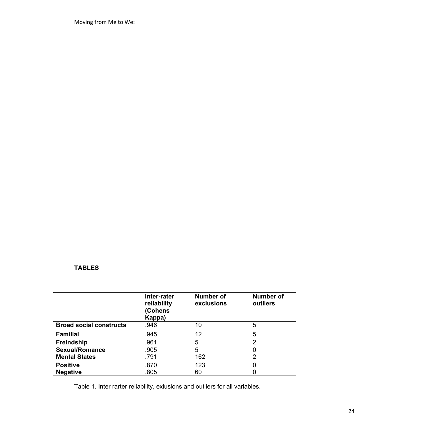### **TABLES**

|                                | Inter-rater<br>reliability<br>(Cohens<br>Kappa) | Number of<br>exclusions | Number of<br>outliers |
|--------------------------------|-------------------------------------------------|-------------------------|-----------------------|
| <b>Broad social constructs</b> | .946                                            | 10                      | 5                     |
| <b>Familial</b>                | .945                                            | 12                      | 5                     |
| <b>Freindship</b>              | .961                                            | 5                       | 2                     |
| <b>Sexual/Romance</b>          | .905                                            | 5                       | 0                     |
| <b>Mental States</b>           | .791                                            | 162                     | 2                     |
| <b>Positive</b>                | .870                                            | 123                     | O                     |
| <b>Negative</b>                | .805                                            | 60                      |                       |

Table 1. Inter rarter reliability, exlusions and outliers for all variables.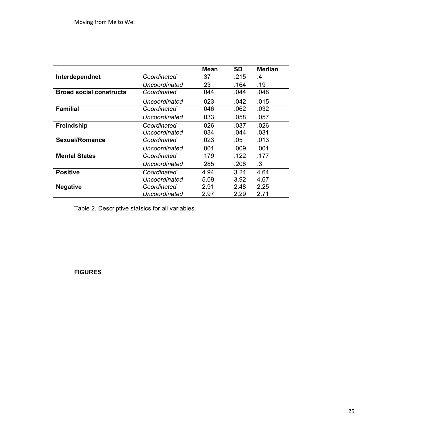|                                |               | <b>Mean</b> | <b>SD</b> | <b>Median</b> |
|--------------------------------|---------------|-------------|-----------|---------------|
| Interdependnet                 | Coordinated   | .37         | .215      | .4            |
|                                | Uncoordinated | .23         | .164      | .19           |
| <b>Broad social constructs</b> | Coordinated   | .044        | .044      | .048          |
|                                | Uncoordinated | .023        | .042      | .015          |
| <b>Familial</b>                | Coordinated   | .046        | .062      | .032          |
|                                | Uncoordinated | .033        | .058      | .057          |
| <b>Freindship</b>              | Coordinated   | .026        | .037      | .026          |
|                                | Uncoordinated | .034        | .044      | .031          |
| <b>Sexual/Romance</b>          | Coordinated   | .023        | .05       | .013          |
|                                | Uncoordinated | .001        | .009      | .001          |
| <b>Mental States</b>           | Coordinated   | .179        | .122      | .177          |
|                                | Uncoordinated | .285        | .206      | .3            |
| <b>Positive</b>                | Coordinated   | 4.94        | 3.24      | 4.64          |
|                                | Uncoordinated | 5.09        | 3.92      | 4.67          |
| <b>Negative</b>                | Coordinated   | 2.91        | 2.48      | 2.25          |
|                                | Uncoordinated | 2.97        | 2.29      | 2.71          |

Table 2. Descriptive statsics for all variables.

**FIGURES**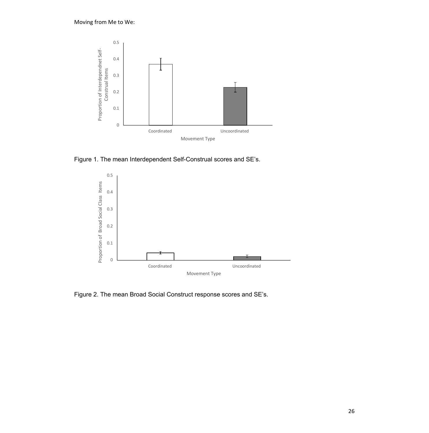

Figure 1. The mean Interdependent Self-Construal scores and SE's.



Figure 2. The mean Broad Social Construct response scores and SE's.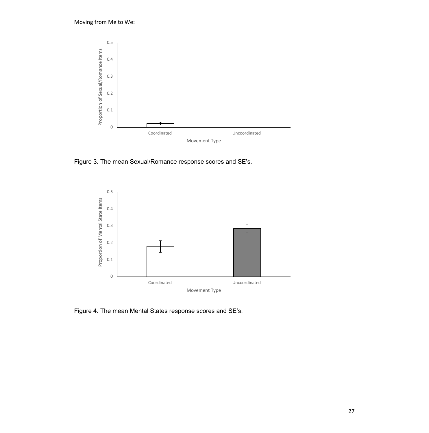

Figure 3. The mean Sexual/Romance response scores and SE's.



Figure 4. The mean Mental States response scores and SE's.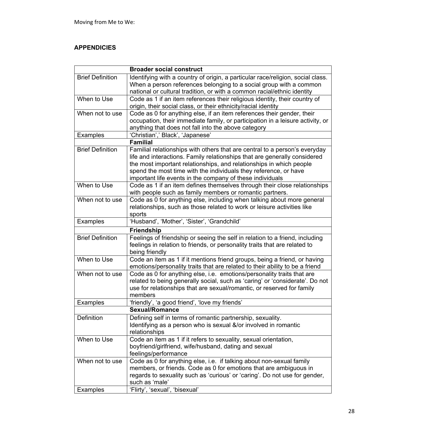### **APPENDICIES**

|                         | <b>Broader social construct</b>                                                 |  |  |  |
|-------------------------|---------------------------------------------------------------------------------|--|--|--|
| <b>Brief Definition</b> | Identifying with a country of origin, a particular race/religion, social class. |  |  |  |
|                         | When a person references belonging to a social group with a common              |  |  |  |
|                         | national or cultural tradition, or with a common racial/ethnic identity         |  |  |  |
| When to Use             | Code as 1 if an item references their religious identity, their country of      |  |  |  |
|                         | origin, their social class, or their ethnicity/racial identity                  |  |  |  |
| When not to use         | Code as 0 for anything else, if an item references their gender, their          |  |  |  |
|                         | occupation, their immediate family, or participation in a leisure activity, or  |  |  |  |
|                         | anything that does not fall into the above category                             |  |  |  |
| <b>Examples</b>         | 'Christian',' Black', 'Japanese'                                                |  |  |  |
| <b>Familial</b>         |                                                                                 |  |  |  |
| <b>Brief Definition</b> | Familial relationships with others that are central to a person's everyday      |  |  |  |
|                         | life and interactions. Family relationships that are generally considered       |  |  |  |
|                         | the most important relationships, and relationships in which people             |  |  |  |
|                         | spend the most time with the individuals they reference, or have                |  |  |  |
|                         | important life events in the company of these individuals                       |  |  |  |
| When to Use             | Code as 1 if an item defines themselves through their close relationships       |  |  |  |
|                         | with people such as family members or romantic partners.                        |  |  |  |
| When not to use         | Code as 0 for anything else, including when talking about more general          |  |  |  |
|                         | relationships, such as those related to work or leisure activities like         |  |  |  |
|                         | sports                                                                          |  |  |  |
| <b>Examples</b>         | 'Husband', 'Mother', 'Sister', 'Grandchild'                                     |  |  |  |
| <b>Friendship</b>       |                                                                                 |  |  |  |
| <b>Brief Definition</b> | Feelings of friendship or seeing the self in relation to a friend, including    |  |  |  |
|                         | feelings in relation to friends, or personality traits that are related to      |  |  |  |
|                         | being friendly                                                                  |  |  |  |
| When to Use             | Code an item as 1 if it mentions friend groups, being a friend, or having       |  |  |  |
|                         | emotions/personality traits that are related to their ability to be a friend    |  |  |  |
| When not to use         | Code as 0 for anything else, i.e. emotions/personality traits that are          |  |  |  |
|                         | related to being generally social, such as 'caring' or 'considerate'. Do not    |  |  |  |
|                         | use for relationships that are sexual/romantic, or reserved for family          |  |  |  |
|                         | members                                                                         |  |  |  |
| <b>Examples</b>         | 'friendly', 'a good friend', 'love my friends'                                  |  |  |  |
|                         | <b>Sexual/Romance</b>                                                           |  |  |  |
| Definition              | Defining self in terms of romantic partnership, sexuality.                      |  |  |  |
|                         | Identifying as a person who is sexual &/or involved in romantic                 |  |  |  |
|                         | relationships                                                                   |  |  |  |
| When to Use             | Code an item as 1 if it refers to sexuality, sexual orientation,                |  |  |  |
|                         | boyfriend/girlfriend, wife/husband, dating and sexual                           |  |  |  |
|                         | feelings/performance                                                            |  |  |  |
| When not to use         | Code as 0 for anything else, i.e. if talking about non-sexual family            |  |  |  |
|                         | members, or friends. Code as 0 for emotions that are ambiguous in               |  |  |  |
|                         | regards to sexuality such as 'curious' or 'caring'. Do not use for gender,      |  |  |  |
|                         | such as 'male'                                                                  |  |  |  |
| Examples                | 'Flirty', 'sexual', 'bisexual'                                                  |  |  |  |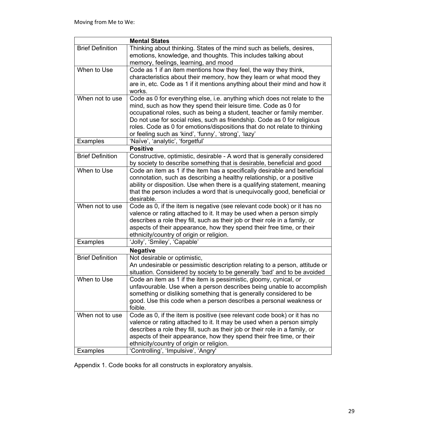| <b>Mental States</b>    |                                                                                                                                                    |  |  |  |
|-------------------------|----------------------------------------------------------------------------------------------------------------------------------------------------|--|--|--|
| <b>Brief Definition</b> | Thinking about thinking. States of the mind such as beliefs, desires,                                                                              |  |  |  |
|                         | emotions, knowledge, and thoughts. This includes talking about                                                                                     |  |  |  |
|                         | memory, feelings, learning, and mood                                                                                                               |  |  |  |
| When to Use             | Code as 1 if an item mentions how they feel, the way they think,                                                                                   |  |  |  |
|                         | characteristics about their memory, how they learn or what mood they                                                                               |  |  |  |
|                         | are in, etc. Code as 1 if it mentions anything about their mind and how it                                                                         |  |  |  |
|                         | works.                                                                                                                                             |  |  |  |
| When not to use         | Code as 0 for everything else, i.e. anything which does not relate to the                                                                          |  |  |  |
|                         | mind, such as how they spend their leisure time. Code as 0 for                                                                                     |  |  |  |
|                         | occupational roles, such as being a student, teacher or family member.                                                                             |  |  |  |
|                         | Do not use for social roles, such as friendship. Code as 0 for religious                                                                           |  |  |  |
|                         | roles. Code as 0 for emotions/dispositions that do not relate to thinking                                                                          |  |  |  |
|                         | or feeling such as 'kind', 'funny', 'strong', 'lazy'                                                                                               |  |  |  |
| <b>Examples</b>         | 'Naïve', 'analytic', 'forgetful'<br><b>Positive</b>                                                                                                |  |  |  |
|                         |                                                                                                                                                    |  |  |  |
| <b>Brief Definition</b> | Constructive, optimistic, desirable - A word that is generally considered                                                                          |  |  |  |
| When to Use             | by society to describe something that is desirable, beneficial and good                                                                            |  |  |  |
|                         | Code an item as 1 if the item has a specifically desirable and beneficial<br>connotation, such as describing a healthy relationship, or a positive |  |  |  |
|                         | ability or disposition. Use when there is a qualifying statement, meaning                                                                          |  |  |  |
|                         | that the person includes a word that is unequivocally good, beneficial or                                                                          |  |  |  |
|                         | desirable.                                                                                                                                         |  |  |  |
| When not to use         | Code as 0, if the item is negative (see relevant code book) or it has no                                                                           |  |  |  |
|                         | valence or rating attached to it. It may be used when a person simply                                                                              |  |  |  |
|                         | describes a role they fill, such as their job or their role in a family, or                                                                        |  |  |  |
|                         | aspects of their appearance, how they spend their free time, or their                                                                              |  |  |  |
|                         | ethnicity/country of origin or religion.                                                                                                           |  |  |  |
| <b>Examples</b>         | 'Jolly', 'Smiley', 'Capable'                                                                                                                       |  |  |  |
| <b>Negative</b>         |                                                                                                                                                    |  |  |  |
| <b>Brief Definition</b> | Not desirable or optimistic,                                                                                                                       |  |  |  |
|                         | An undesirable or pessimistic description relating to a person, attitude or                                                                        |  |  |  |
|                         | situation. Considered by society to be generally 'bad' and to be avoided                                                                           |  |  |  |
| When to Use             | Code an item as 1 if the item is pessimistic, gloomy, cynical, or                                                                                  |  |  |  |
|                         | unfavourable. Use when a person describes being unable to accomplish                                                                               |  |  |  |
|                         | something or disliking something that is generally considered to be                                                                                |  |  |  |
|                         | good. Use this code when a person describes a personal weakness or                                                                                 |  |  |  |
|                         | foible.                                                                                                                                            |  |  |  |
| When not to use         | Code as 0, if the item is positive (see relevant code book) or it has no                                                                           |  |  |  |
|                         | valence or rating attached to it. It may be used when a person simply                                                                              |  |  |  |
|                         | describes a role they fill, such as their job or their role in a family, or                                                                        |  |  |  |
|                         | aspects of their appearance, how they spend their free time, or their                                                                              |  |  |  |
|                         | ethnicity/country of origin or religion.                                                                                                           |  |  |  |
| <b>Examples</b>         | 'Controlling', 'Impulsive', 'Angry'                                                                                                                |  |  |  |

Appendix 1. Code books for all constructs in exploratory anyalsis.